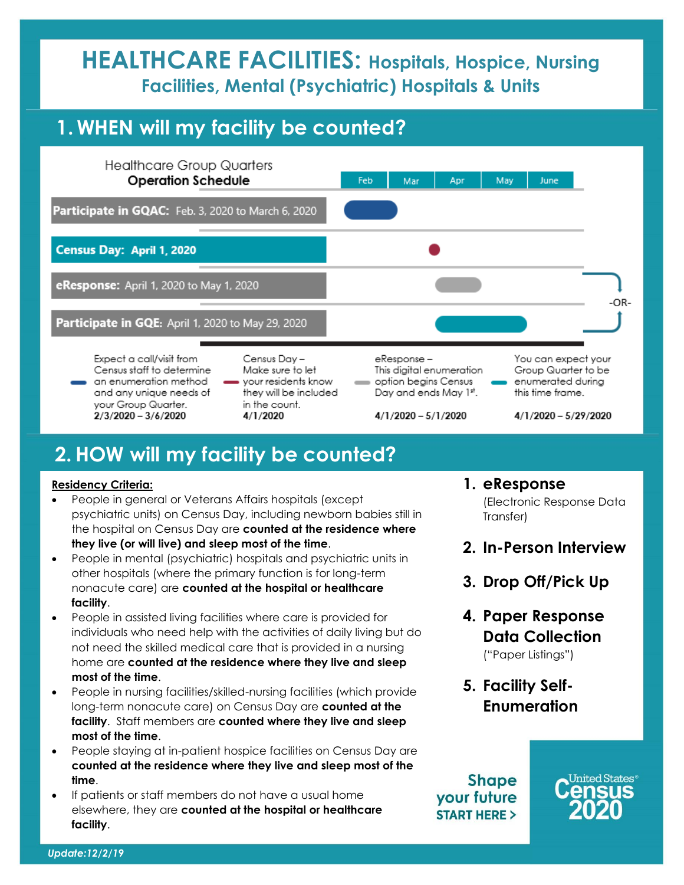# **HEALTHCARE FACILITIES: Hospitals, Hospice, Nursing Facilities, Mental (Psychiatric) Hospitals & Units**

## **1. WHEN will my facility be counted?**



## **2.HOW will my facility be counted?**

#### **Residency Criteria:**

- People in general or Veterans Affairs hospitals (except psychiatric units) on Census Day, including newborn babies still in the hospital on Census Day are **counted at the residence where they live (or will live) and sleep most of the time**.
- People in mental (psychiatric) hospitals and psychiatric units in other hospitals (where the primary function is for long-term nonacute care) are **counted at the hospital or healthcare facility**.
- People in assisted living facilities where care is provided for individuals who need help with the activities of daily living but do not need the skilled medical care that is provided in a nursing home are **counted at the residence where they live and sleep most of the time**.
- People in nursing facilities/skilled-nursing facilities (which provide long-term nonacute care) on Census Day are **counted at the facility**. Staff members are **counted where they live and sleep most of the time**.
- People staying at in-patient hospice facilities on Census Day are **counted at the residence where they live and sleep most of the time**.
- If patients or staff members do not have a usual home elsewhere, they are **counted at the hospital or healthcare facility**.
- **1. eResponse** (Electronic Response Data Transfer)
- **2. In-Person Interview**
- **3. Drop Off/Pick Up**
- **4. Paper Response Data Collection** ("Paper Listings")
- **5. Facility Self-Enumeration**

**Shape** your future **START HERE >**